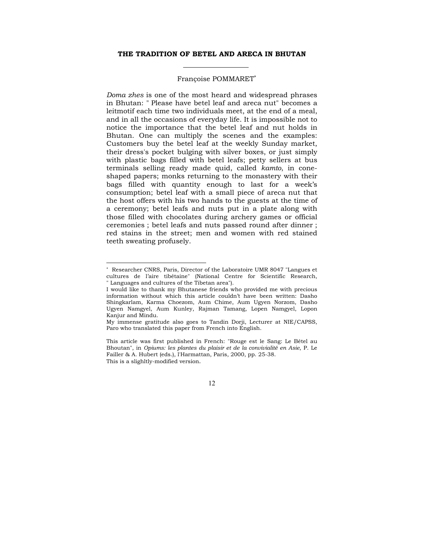### **THE TRADITION OF BETEL AND ARECA IN BHUTAN**

#### Françoise POMMARET<sup>∗</sup>

*Doma zhes* is one of the most heard and widespread phrases in Bhutan: " Please have betel leaf and areca nut" becomes a leitmotif each time two individuals meet, at the end of a meal, and in all the occasions of everyday life. It is impossible not to notice the importance that the betel leaf and nut holds in Bhutan. One can multiply the scenes and the examples: Customers buy the betel leaf at the weekly Sunday market, their dress's pocket bulging with silver boxes, or just simply with plastic bags filled with betel leafs; petty sellers at bus terminals selling ready made quid, called *kamto*, in coneshaped papers; monks returning to the monastery with their bags filled with quantity enough to last for a week's consumption; betel leaf with a small piece of areca nut that the host offers with his two hands to the guests at the time of a ceremony; betel leafs and nuts put in a plate along with those filled with chocolates during archery games or official ceremonies ; betel leafs and nuts passed round after dinner ; red stains in the street; men and women with red stained teeth sweating profusely.

<sup>∗</sup> Researcher CNRS, Paris, Director of the Laboratoire UMR 8047 "Langues et cultures de l'aire tibétaine" (National Centre for Scientific Research, " Languages and cultures of the Tibetan area").

I would like to thank my Bhutanese friends who provided me with precious information without which this article couldn't have been written: Dasho Shingkarlam, Karma Choezom, Aum Chime, Aum Ugyen Norzom, Dasho Ugyen Namgyel, Aum Kunley, Rajman Tamang, Lopen Namgyel, Lopon Kanjur and Mindu.

My immense gratitude also goes to Tandin Dorji, Lecturer at NIE/CAPSS, Paro who translated this paper from French into English.

This article was first published in French: "Rouge est le Sang: Le Bétel au Bhoutan", in *Opiums: les plantes du plaisir et de la convivialité en Asie*, P. Le Failler & A. Hubert (eds.), l'Harmattan, Paris, 2000, pp. 25-38. This is a slighltly-modified version.

<sup>12</sup>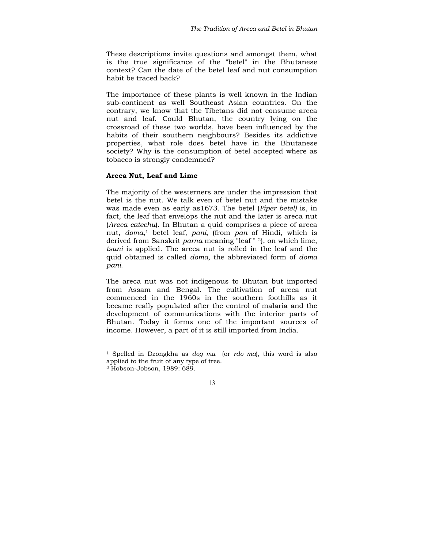These descriptions invite questions and amongst them, what is the true significance of the "betel" in the Bhutanese context? Can the date of the betel leaf and nut consumption habit be traced back?

The importance of these plants is well known in the Indian sub-continent as well Southeast Asian countries. On the contrary, we know that the Tibetans did not consume areca nut and leaf. Could Bhutan, the country lying on the crossroad of these two worlds, have been influenced by the habits of their southern neighbours? Besides its addictive properties, what role does betel have in the Bhutanese society? Why is the consumption of betel accepted where as tobacco is strongly condemned?

#### **Areca Nut, Leaf and Lime**

The majority of the westerners are under the impression that betel is the nut. We talk even of betel nut and the mistake was made even as early as1673. The betel (*Piper betel)* is, in fact, the leaf that envelops the nut and the later is areca nut (*Areca catechu*). In Bhutan a quid comprises a piece of areca nut, *doma*,1 betel leaf, *pani*, (from *pan* of Hindi, which is derived from Sanskrit *parna* meaning "leaf " 2), on which lime, *tsuni* is applied. The areca nut is rolled in the leaf and the quid obtained is called *doma,* the abbreviated form of *doma pani*.

The areca nut was not indigenous to Bhutan but imported from Assam and Bengal. The cultivation of areca nut commenced in the 1960s in the southern foothills as it became really populated after the control of malaria and the development of communications with the interior parts of Bhutan. Today it forms one of the important sources of income. However, a part of it is still imported from India.

<sup>1</sup> Spelled in Dzongkha as *dog ma* (or *rdo ma*), this word is also applied to the fruit of any type of tree.

<sup>2</sup> Hobson-Jobson, 1989: 689.

<sup>13</sup>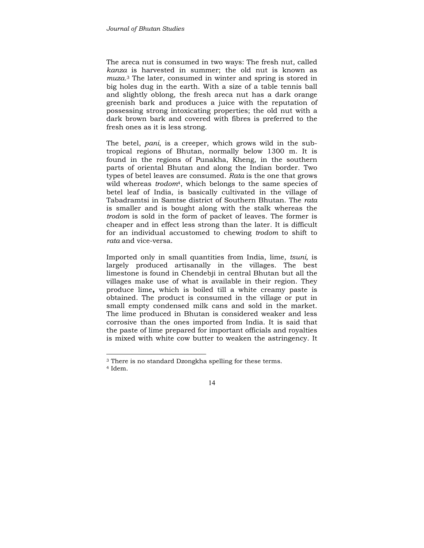The areca nut is consumed in two ways: The fresh nut, called *kanza* is harvested in summer; the old nut is known as *muza*.3 The later, consumed in winter and spring is stored in big holes dug in the earth. With a size of a table tennis ball and slightly oblong, the fresh areca nut has a dark orange greenish bark and produces a juice with the reputation of possessing strong intoxicating properties; the old nut with a dark brown bark and covered with fibres is preferred to the fresh ones as it is less strong.

The betel, *pani*, is a creeper, which grows wild in the subtropical regions of Bhutan, normally below 1300 m. It is found in the regions of Punakha, Kheng, in the southern parts of oriental Bhutan and along the Indian border. Two types of betel leaves are consumed. *Rata* is the one that grows wild whereas *trodom*4, which belongs to the same species of betel leaf of India, is basically cultivated in the village of Tabadramtsi in Samtse district of Southern Bhutan. The *rata*  is smaller and is bought along with the stalk whereas the *trodom* is sold in the form of packet of leaves. The former is cheaper and in effect less strong than the later. It is difficult for an individual accustomed to chewing *trodom* to shift to *rata* and vice-versa.

Imported only in small quantities from India, lime, *tsuni,* is largely produced artisanally in the villages. The best limestone is found in Chendebji in central Bhutan but all the villages make use of what is available in their region. They produce lime**,** which is boiled till a white creamy paste is obtained. The product is consumed in the village or put in small empty condensed milk cans and sold in the market. The lime produced in Bhutan is considered weaker and less corrosive than the ones imported from India. It is said that the paste of lime prepared for important officials and royalties is mixed with white cow butter to weaken the astringency. It

<sup>3</sup> There is no standard Dzongkha spelling for these terms. 4 Idem.

<sup>14</sup>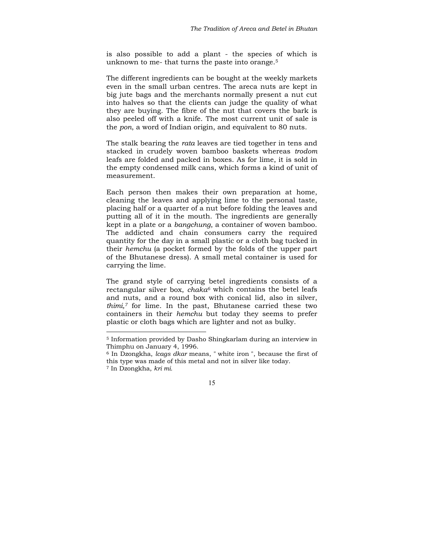is also possible to add a plant - the species of which is unknown to me- that turns the paste into orange.5

The different ingredients can be bought at the weekly markets even in the small urban centres. The areca nuts are kept in big jute bags and the merchants normally present a nut cut into halves so that the clients can judge the quality of what they are buying. The fibre of the nut that covers the bark is also peeled off with a knife. The most current unit of sale is the *pon*, a word of Indian origin, and equivalent to 80 nuts.

The stalk bearing the *rata* leaves are tied together in tens and stacked in crudely woven bamboo baskets whereas *trodom* leafs are folded and packed in boxes. As for lime, it is sold in the empty condensed milk cans, which forms a kind of unit of measurement.

Each person then makes their own preparation at home, cleaning the leaves and applying lime to the personal taste, placing half or a quarter of a nut before folding the leaves and putting all of it in the mouth. The ingredients are generally kept in a plate or a *bangchung*, a container of woven bamboo. The addicted and chain consumers carry the required quantity for the day in a small plastic or a cloth bag tucked in their *hemchu* (a pocket formed by the folds of the upper part of the Bhutanese dress). A small metal container is used for carrying the lime.

The grand style of carrying betel ingredients consists of a rectangular silver box, *chaka6* which contains the betel leafs and nuts, and a round box with conical lid, also in silver, *thimi,7* for lime. In the past, Bhutanese carried these two containers in their *hemchu* but today they seems to prefer plastic or cloth bags which are lighter and not as bulky.

<sup>5</sup> Information provided by Dasho Shingkarlam during an interview in Thimphu on January 4, 1996.

<sup>6</sup> In Dzongkha, *lcags dkar* means, " white iron ", because the first of this type was made of this metal and not in silver like today.

<sup>7</sup> In Dzongkha, *kri mi.*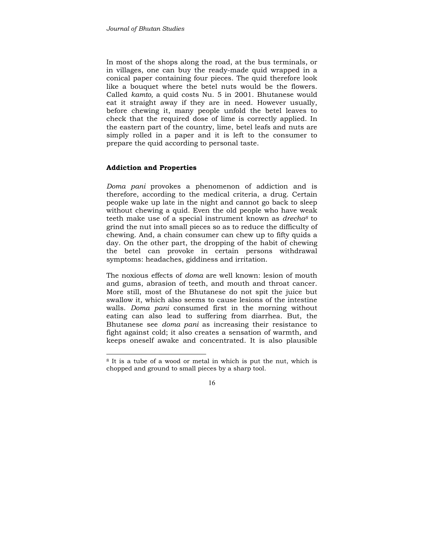In most of the shops along the road, at the bus terminals, or in villages, one can buy the ready-made quid wrapped in a conical paper containing four pieces. The quid therefore look like a bouquet where the betel nuts would be the flowers. Called *kamto,* a quid costs Nu. 5 in 2001. Bhutanese would eat it straight away if they are in need. However usually, before chewing it, many people unfold the betel leaves to check that the required dose of lime is correctly applied. In the eastern part of the country, lime, betel leafs and nuts are simply rolled in a paper and it is left to the consumer to prepare the quid according to personal taste.

### **Addiction and Properties**

*Doma pani* provokes a phenomenon of addiction and is therefore, according to the medical criteria, a drug. Certain people wake up late in the night and cannot go back to sleep without chewing a quid. Even the old people who have weak teeth make use of a special instrument known as *drecha8* to grind the nut into small pieces so as to reduce the difficulty of chewing. And, a chain consumer can chew up to fifty quids a day. On the other part, the dropping of the habit of chewing the betel can provoke in certain persons withdrawal symptoms: headaches, giddiness and irritation.

The noxious effects of *doma* are well known: lesion of mouth and gums, abrasion of teeth, and mouth and throat cancer. More still, most of the Bhutanese do not spit the juice but swallow it, which also seems to cause lesions of the intestine walls. *Doma pani* consumed first in the morning without eating can also lead to suffering from diarrhea. But, the Bhutanese see *doma pani* as increasing their resistance to fight against cold; it also creates a sensation of warmth, and keeps oneself awake and concentrated. It is also plausible

<sup>8</sup> It is a tube of a wood or metal in which is put the nut, which is chopped and ground to small pieces by a sharp tool.

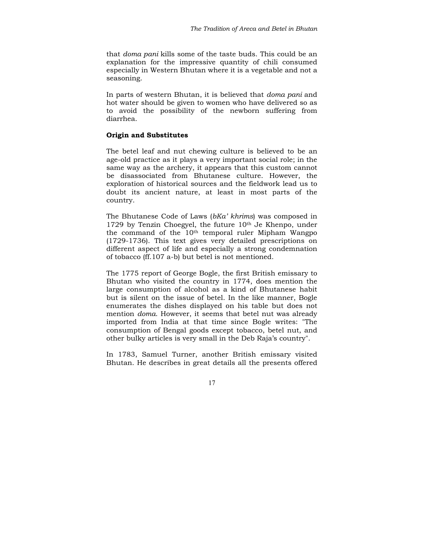that *doma pani* kills some of the taste buds. This could be an explanation for the impressive quantity of chili consumed especially in Western Bhutan where it is a vegetable and not a seasoning.

In parts of western Bhutan, it is believed that *doma pani* and hot water should be given to women who have delivered so as to avoid the possibility of the newborn suffering from diarrhea.

## **Origin and Substitutes**

The betel leaf and nut chewing culture is believed to be an age-old practice as it plays a very important social role; in the same way as the archery, it appears that this custom cannot be disassociated from Bhutanese culture. However, the exploration of historical sources and the fieldwork lead us to doubt its ancient nature, at least in most parts of the country.

The Bhutanese Code of Laws (*bKa' khrims*) was composed in 1729 by Tenzin Choegyel, the future  $10<sup>th</sup>$  Je Khenpo, under the command of the 10th temporal ruler Mipham Wangpo (1729-1736). This text gives very detailed prescriptions on different aspect of life and especially a strong condemnation of tobacco (ff.107 a-b) but betel is not mentioned.

The 1775 report of George Bogle, the first British emissary to Bhutan who visited the country in 1774, does mention the large consumption of alcohol as a kind of Bhutanese habit but is silent on the issue of betel. In the like manner, Bogle enumerates the dishes displayed on his table but does not mention *doma*. However, it seems that betel nut was already imported from India at that time since Bogle writes: "The consumption of Bengal goods except tobacco, betel nut, and other bulky articles is very small in the Deb Raja's country".

In 1783, Samuel Turner, another British emissary visited Bhutan. He describes in great details all the presents offered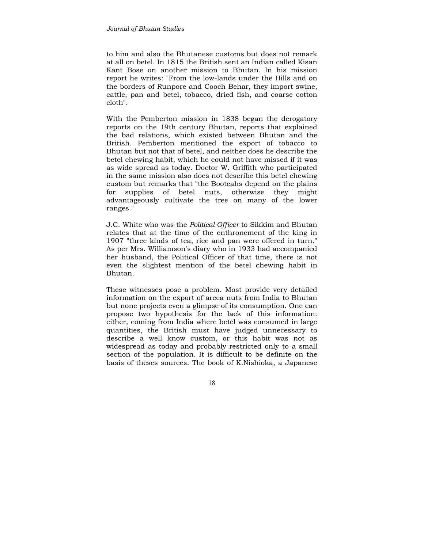to him and also the Bhutanese customs but does not remark at all on betel. In 1815 the British sent an Indian called Kisan Kant Bose on another mission to Bhutan. In his mission report he writes: "From the low-lands under the Hills and on the borders of Runpore and Cooch Behar, they import swine, cattle, pan and betel, tobacco, dried fish, and coarse cotton cloth".

With the Pemberton mission in 1838 began the derogatory reports on the 19th century Bhutan, reports that explained the bad relations, which existed between Bhutan and the British. Pemberton mentioned the export of tobacco to Bhutan but not that of betel, and neither does he describe the betel chewing habit, which he could not have missed if it was as wide spread as today. Doctor W. Griffith who participated in the same mission also does not describe this betel chewing custom but remarks that "the Booteahs depend on the plains for supplies of betel nuts, otherwise they might advantageously cultivate the tree on many of the lower ranges."

J.C. White who was the *Political Officer* to Sikkim and Bhutan relates that at the time of the enthronement of the king in 1907 "three kinds of tea, rice and pan were offered in turn." As per Mrs. Williamson's diary who in 1933 had accompanied her husband, the Political Officer of that time, there is not even the slightest mention of the betel chewing habit in Bhutan.

These witnesses pose a problem. Most provide very detailed information on the export of areca nuts from India to Bhutan but none projects even a glimpse of its consumption. One can propose two hypothesis for the lack of this information: either, coming from India where betel was consumed in large quantities, the British must have judged unnecessary to describe a well know custom, or this habit was not as widespread as today and probably restricted only to a small section of the population. It is difficult to be definite on the basis of theses sources. The book of K.Nishioka, a Japanese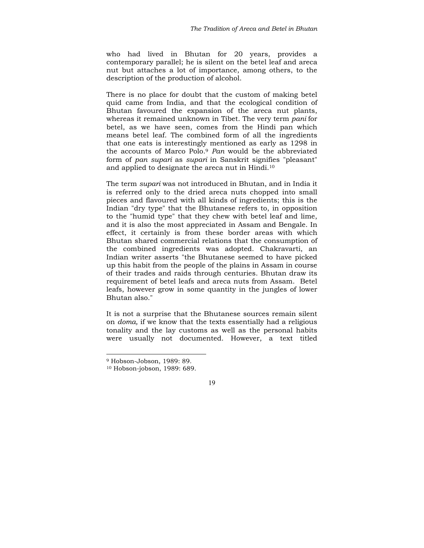who had lived in Bhutan for 20 years, provides a contemporary parallel; he is silent on the betel leaf and areca nut but attaches a lot of importance, among others, to the description of the production of alcohol.

There is no place for doubt that the custom of making betel quid came from India, and that the ecological condition of Bhutan favoured the expansion of the areca nut plants, whereas it remained unknown in Tibet. The very term *pani* for betel, as we have seen, comes from the Hindi pan which means betel leaf. The combined form of all the ingredients that one eats is interestingly mentioned as early as 1298 in the accounts of Marco Polo.9 *Pan* would be the abbreviated form of *pan supari* as *supari* in Sanskrit signifies "pleasant" and applied to designate the areca nut in Hindi.10

The term *supari* was not introduced in Bhutan, and in India it is referred only to the dried areca nuts chopped into small pieces and flavoured with all kinds of ingredients; this is the Indian "dry type" that the Bhutanese refers to, in opposition to the "humid type" that they chew with betel leaf and lime, and it is also the most appreciated in Assam and Bengale. In effect, it certainly is from these border areas with which Bhutan shared commercial relations that the consumption of the combined ingredients was adopted. Chakravarti, an Indian writer asserts "the Bhutanese seemed to have picked up this habit from the people of the plains in Assam in course of their trades and raids through centuries. Bhutan draw its requirement of betel leafs and areca nuts from Assam. Betel leafs, however grow in some quantity in the jungles of lower Bhutan also."

It is not a surprise that the Bhutanese sources remain silent on *doma,* if we know that the texts essentially had a religious tonality and the lay customs as well as the personal habits were usually not documented. However, a text titled

<sup>9</sup> Hobson-Jobson, 1989: 89.

<sup>10</sup> Hobson-jobson, 1989: 689.

<sup>19</sup>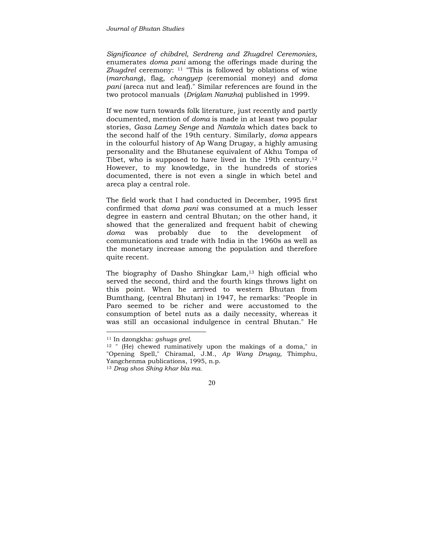*Significance of chibdrel, Serdreng and Zhugdrel Ceremonies,* enumerates *doma pani* among the offerings made during the *Zhugdrel* ceremony: 11 "This is followed by oblations of wine (*marchang*), flag, *changyep* (ceremonial money) and *doma pani* (areca nut and leaf)." Similar references are found in the two protocol manuals (*Driglam Namzha*) published in 1999.

If we now turn towards folk literature, just recently and partly documented, mention of *doma* is made in at least two popular stories, *Gasa Lamey Senge* and *Namtala* which dates back to the second half of the 19th century. Similarly, *doma* appears in the colourful history of Ap Wang Drugay, a highly amusing personality and the Bhutanese equivalent of Akhu Tompa of Tibet, who is supposed to have lived in the 19th century.<sup>12</sup> However, to my knowledge, in the hundreds of stories documented, there is not even a single in which betel and areca play a central role.

The field work that I had conducted in December, 1995 first confirmed that *doma pani* was consumed at a much lesser degree in eastern and central Bhutan*;* on the other hand, it showed that the generalized and frequent habit of chewing *doma* was probably due to the development of communications and trade with India in the 1960s as well as the monetary increase among the population and therefore quite recent.

The biography of Dasho Shingkar Lam,<sup>13</sup> high official who served the second, third and the fourth kings throws light on this point. When he arrived to western Bhutan from Bumthang, (central Bhutan) in 1947, he remarks: "People in Paro seemed to be richer and were accustomed to the consumption of betel nuts as a daily necessity, whereas it was still an occasional indulgence in central Bhutan." He

<sup>11</sup> In dzongkha: *gshugs grel.*

<sup>12 &</sup>quot; (He) chewed ruminatively upon the makings of a doma," in "Opening Spell," Chiramal, J.M., *Ap Wang Drugay,* Thimphu, Yangchenma publications, 1995, n.p.

<sup>13</sup> *Drag shos Shing khar bla ma.*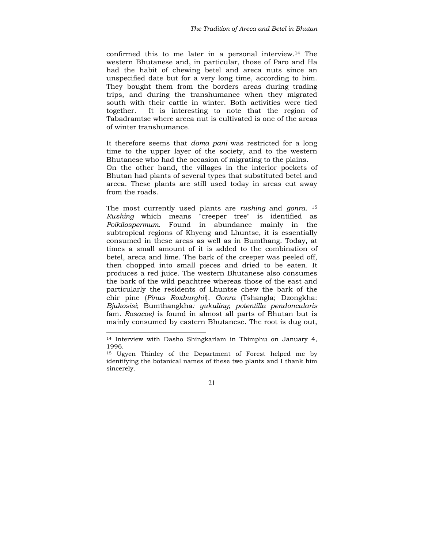confirmed this to me later in a personal interview.14 The western Bhutanese and, in particular, those of Paro and Ha had the habit of chewing betel and areca nuts since an unspecified date but for a very long time, according to him. They bought them from the borders areas during trading trips, and during the transhumance when they migrated south with their cattle in winter. Both activities were tied together. It is interesting to note that the region of Tabadramtse where areca nut is cultivated is one of the areas of winter transhumance.

It therefore seems that *doma pani* was restricted for a long time to the upper layer of the society, and to the western Bhutanese who had the occasion of migrating to the plains. On the other hand, the villages in the interior pockets of Bhutan had plants of several types that substituted betel and areca. These plants are still used today in areas cut away from the roads.

The most currently used plants are *rushing* and *gonra*. 15 *Rushing* which means "creeper tree" is identified as *Poikilospermum.* Found in abundance mainly in the subtropical regions of Khyeng and Lhuntse, it is essentially consumed in these areas as well as in Bumthang. Today, at times a small amount of it is added to the combination of betel, areca and lime. The bark of the creeper was peeled off, then chopped into small pieces and dried to be eaten. It produces a red juice. The western Bhutanese also consumes the bark of the wild peachtree whereas those of the east and particularly the residents of Lhuntse chew the bark of the chir pine (*Pinus Roxburghii*). *Gonra* (Tshangla; Dzongkha: *Bjukosisi*; Bumthangkha*: yukuling*; *potentilla pendoncularis*  fam*. Rosacoe)* is found in almost all parts of Bhutan but is mainly consumed by eastern Bhutanese. The root is dug out,

<sup>14</sup> Interview with Dasho Shingkarlam in Thimphu on January 4, 1996.

<sup>15</sup> Ugyen Thinley of the Department of Forest helped me by identifying the botanical names of these two plants and I thank him sincerely.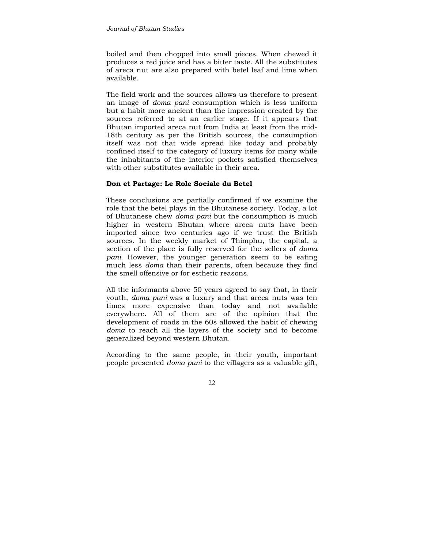boiled and then chopped into small pieces. When chewed it produces a red juice and has a bitter taste. All the substitutes of areca nut are also prepared with betel leaf and lime when available.

The field work and the sources allows us therefore to present an image of *doma pani* consumption which is less uniform but a habit more ancient than the impression created by the sources referred to at an earlier stage. If it appears that Bhutan imported areca nut from India at least from the mid-18th century as per the British sources, the consumption itself was not that wide spread like today and probably confined itself to the category of luxury items for many while the inhabitants of the interior pockets satisfied themselves with other substitutes available in their area.

# **Don et Partage: Le Role Sociale du Betel**

These conclusions are partially confirmed if we examine the role that the betel plays in the Bhutanese society. Today, a lot of Bhutanese chew *doma pani* but the consumption is much higher in western Bhutan where areca nuts have been imported since two centuries ago if we trust the British sources. In the weekly market of Thimphu, the capital, a section of the place is fully reserved for the sellers of *doma pani.* However, the younger generation seem to be eating much less *doma* than their parents, often because they find the smell offensive or for esthetic reasons.

All the informants above 50 years agreed to say that, in their youth, *doma pani* was a luxury and that areca nuts was ten times more expensive than today and not available everywhere. All of them are of the opinion that the development of roads in the 60s allowed the habit of chewing *doma* to reach all the layers of the society and to become generalized beyond western Bhutan.

According to the same people, in their youth, important people presented *doma pani* to the villagers as a valuable gift,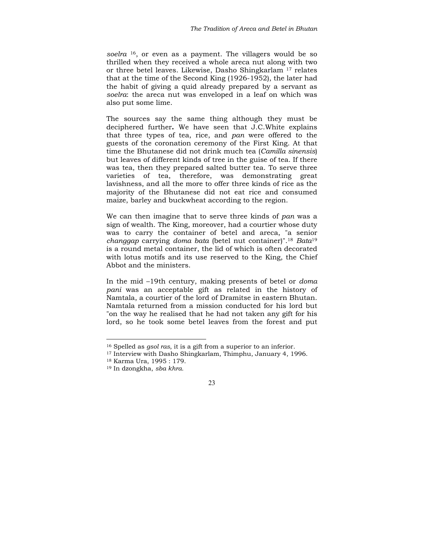*soelra* 16, or even as a payment. The villagers would be so thrilled when they received a whole areca nut along with two or three betel leaves. Likewise, Dasho Shingkarlam 17 relates that at the time of the Second King (1926-1952), the later had the habit of giving a quid already prepared by a servant as *soelra*: the areca nut was enveloped in a leaf on which was also put some lime.

The sources say the same thing although they must be deciphered further**.** We have seen that J.C.White explains that three types of tea, rice, and *pan* were offered to the guests of the coronation ceremony of the First King. At that time the Bhutanese did not drink much tea (*Camilla sinensis*) but leaves of different kinds of tree in the guise of tea. If there was tea, then they prepared salted butter tea. To serve three varieties of tea, therefore, was demonstrating great lavishness, and all the more to offer three kinds of rice as the majority of the Bhutanese did not eat rice and consumed maize, barley and buckwheat according to the region.

We can then imagine that to serve three kinds of *pan* was a sign of wealth. The King, moreover, had a courtier whose duty was to carry the container of betel and areca, "a senior *changgap* carrying *doma bata* (betel nut container)".18 *Bata*<sup>19</sup> is a round metal container, the lid of which is often decorated with lotus motifs and its use reserved to the King, the Chief Abbot and the ministers.

In the mid –19th century, making presents of betel or *doma pani* was an acceptable gift as related in the history of Namtala, a courtier of the lord of Dramitse in eastern Bhutan. Namtala returned from a mission conducted for his lord but "on the way he realised that he had not taken any gift for his lord, so he took some betel leaves from the forest and put

<sup>16</sup> Spelled as *gsol ras*, it is a gift from a superior to an inferior. 17 Interview with Dasho Shingkarlam, Thimphu, January 4, 1996.

<sup>18</sup> Karma Ura, 1995 : 179.

<sup>19</sup> In dzongkha, *sba khra.*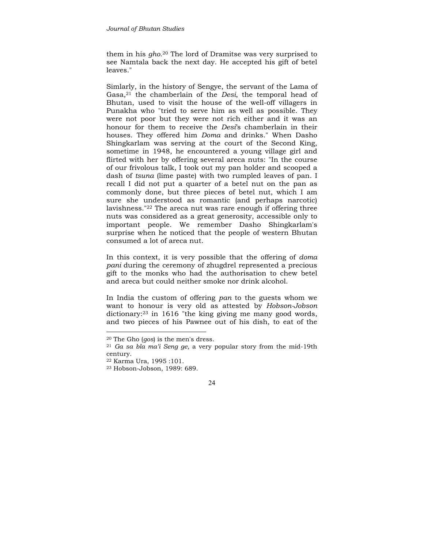them in his *gho*.20 The lord of Dramitse was very surprised to see Namtala back the next day. He accepted his gift of betel leaves."

Simlarly, in the history of Sengye, the servant of the Lama of Gasa,21 the chamberlain of the *Desi*, the temporal head of Bhutan, used to visit the house of the well-off villagers in Punakha who "tried to serve him as well as possible. They were not poor but they were not rich either and it was an honour for them to receive the *Desi*'s chamberlain in their houses. They offered him *Doma* and drinks." When Dasho Shingkarlam was serving at the court of the Second King, sometime in 1948, he encountered a young village girl and flirted with her by offering several areca nuts: "In the course of our frivolous talk, I took out my pan holder and scooped a dash of *tsuna* (lime paste) with two rumpled leaves of pan. I recall I did not put a quarter of a betel nut on the pan as commonly done, but three pieces of betel nut, which I am sure she understood as romantic (and perhaps narcotic) lavishness."22 The areca nut was rare enough if offering three nuts was considered as a great generosity, accessible only to important people. We remember Dasho Shingkarlam's surprise when he noticed that the people of western Bhutan consumed a lot of areca nut.

In this context, it is very possible that the offering of *doma pani* during the ceremony of zhugdrel represented a precious gift to the monks who had the authorisation to chew betel and areca but could neither smoke nor drink alcohol.

In India the custom of offering *pan* to the guests whom we want to honour is very old as attested by *Hobson-Jobson* dictionary:23 in 1616 "the king giving me many good words, and two pieces of his Pawnee out of his dish, to eat of the

<sup>20</sup> The Gho (*gos*) is the men's dress. 21 *Ga sa bla ma'i Seng ge,* a very popular story from the mid-19th century.

<sup>22</sup> Karma Ura, 1995 :101.

<sup>23</sup> Hobson-Jobson, 1989: 689.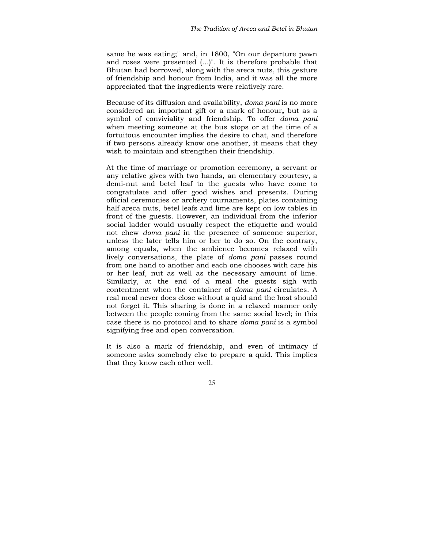same he was eating;" and, in 1800, "On our departure pawn and roses were presented (…)". It is therefore probable that Bhutan had borrowed, along with the areca nuts, this gesture of friendship and honour from India, and it was all the more appreciated that the ingredients were relatively rare.

Because of its diffusion and availability, *doma pani* is no more considered an important gift or a mark of honour**,** but as a symbol of conviviality and friendship. To offer *doma pani*  when meeting someone at the bus stops or at the time of a fortuitous encounter implies the desire to chat, and therefore if two persons already know one another, it means that they wish to maintain and strengthen their friendship.

At the time of marriage or promotion ceremony, a servant or any relative gives with two hands, an elementary courtesy, a demi-nut and betel leaf to the guests who have come to congratulate and offer good wishes and presents. During official ceremonies or archery tournaments, plates containing half areca nuts, betel leafs and lime are kept on low tables in front of the guests. However, an individual from the inferior social ladder would usually respect the etiquette and would not chew *doma pani* in the presence of someone superior, unless the later tells him or her to do so. On the contrary, among equals, when the ambience becomes relaxed with lively conversations, the plate of *doma pani* passes round from one hand to another and each one chooses with care his or her leaf, nut as well as the necessary amount of lime. Similarly, at the end of a meal the guests sigh with contentment when the container of *doma pani* circulates. A real meal never does close without a quid and the host should not forget it. This sharing is done in a relaxed manner only between the people coming from the same social level; in this case there is no protocol and to share *doma pani* is a symbol signifying free and open conversation.

It is also a mark of friendship, and even of intimacy if someone asks somebody else to prepare a quid. This implies that they know each other well.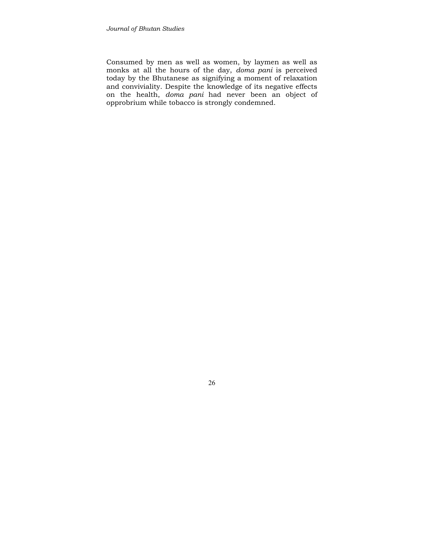Consumed by men as well as women, by laymen as well as monks at all the hours of the day, *doma pani* is perceived today by the Bhutanese as signifying a moment of relaxation and conviviality. Despite the knowledge of its negative effects on the health, *doma pani* had never been an object of opprobrium while tobacco is strongly condemned.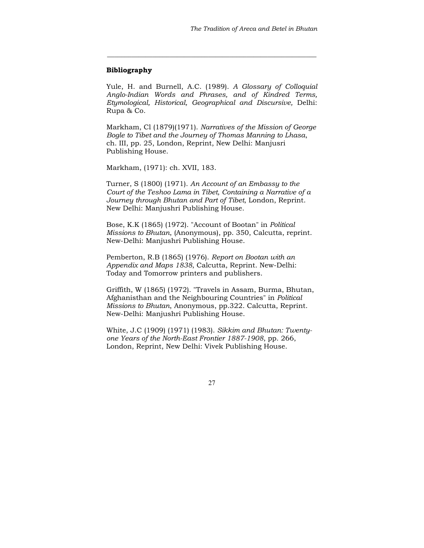## **Bibliography**

Yule, H. and Burnell, A.C. (1989). *A Glossary of Colloquial Anglo-Indian Words and Phrases, and of Kindred Terms, Etymological, Historical, Geographical and Discursive,* Delhi: Rupa & Co.

**\_\_\_\_\_\_\_\_\_\_\_\_\_\_\_\_\_\_\_\_\_\_\_\_\_\_\_\_\_\_\_\_\_\_\_\_\_\_\_\_\_\_\_\_\_\_\_\_\_\_\_\_\_\_\_\_\_\_\_\_** 

Markham, Cl (1879)(1971). *Narratives of the Mission of George Bogle to Tibet and the Journey of Thomas Manning to Lhasa*, ch. III, pp. 25, London, Reprint, New Delhi: Manjusri Publishing House.

Markham, (1971): ch. XVII, 183.

Turner, S (1800) (1971). *An Account of an Embassy to the Court of the Teshoo Lama in Tibet, Containing a Narrative of a Journey through Bhutan and Part of Tibet*, London, Reprint. New Delhi: Manjushri Publishing House.

Bose, K.K (1865) (1972). "Account of Bootan" in *Political Missions to Bhutan*, (Anonymous), pp. 350, Calcutta, reprint. New-Delhi: Manjushri Publishing House.

Pemberton, R.B (1865) (1976). *Report on Bootan with an Appendix and Maps 1838*, Calcutta, Reprint. New-Delhi: Today and Tomorrow printers and publishers.

Griffith, W (1865) (1972). "Travels in Assam, Burma, Bhutan, Afghanisthan and the Neighbouring Countries" in *Political Missions to Bhutan*, Anonymous, pp.322. Calcutta, Reprint. New-Delhi: Manjushri Publishing House.

White, J.C (1909) (1971) (1983). *Sikkim and Bhutan: Twentyone Years of the North-East Frontier 1887-1908*, pp. 266, London, Reprint, New Delhi: Vivek Publishing House.